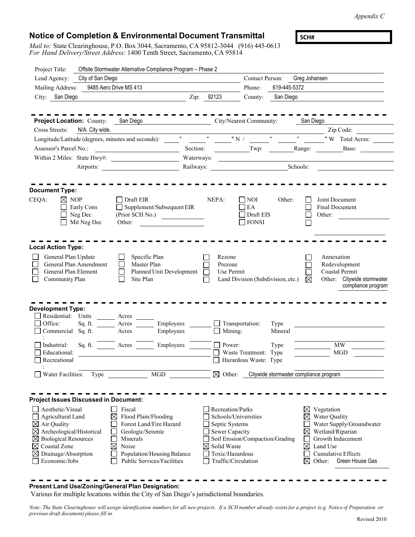*Appendix C*

 $\overline{\phantom{0}}$ 

 $\overline{a}$ 

## **Notice of Completion & Environmental Document Transmittal**

*Mail to:* State Clearinghouse, P.O. Box 3044, Sacramento, CA 95812-3044 (916) 445-0613 *For Hand Delivery/Street Address:* 1400 Tenth Street, Sacramento, CA 95814

**SCH#**

| Project Title:                                   | Offsite Stormwater Alternative Compliance Program - Phase 2                                                                                                                                                                    |                                          |                                        |              |                                                                                                                                                                                                                                                                                                                     |
|--------------------------------------------------|--------------------------------------------------------------------------------------------------------------------------------------------------------------------------------------------------------------------------------|------------------------------------------|----------------------------------------|--------------|---------------------------------------------------------------------------------------------------------------------------------------------------------------------------------------------------------------------------------------------------------------------------------------------------------------------|
| Lead Agency:<br>City of San Diego                |                                                                                                                                                                                                                                |                                          | Contact Person: Greg Johansen          |              |                                                                                                                                                                                                                                                                                                                     |
| 9485 Aero Drive MS 413<br>Mailing Address:       |                                                                                                                                                                                                                                |                                          | Phone:                                 | 619-445-5372 |                                                                                                                                                                                                                                                                                                                     |
| City: San Diego                                  | <u>2</u> Zip: 92123                                                                                                                                                                                                            |                                          | County:<br>San Diego                   |              |                                                                                                                                                                                                                                                                                                                     |
|                                                  |                                                                                                                                                                                                                                |                                          |                                        |              |                                                                                                                                                                                                                                                                                                                     |
|                                                  | Project Location: County: San Diego                                                                                                                                                                                            |                                          | City/Nearest Community:                | San Diego    |                                                                                                                                                                                                                                                                                                                     |
| N/A. City wide.<br>Cross Streets:                |                                                                                                                                                                                                                                |                                          |                                        |              | $\frac{1}{2}$ $\frac{1}{2}$ $\frac{1}{2}$ $\frac{1}{2}$ $\frac{1}{2}$ $\frac{1}{2}$ $\frac{1}{2}$ $\frac{1}{2}$ $\frac{1}{2}$ $\frac{1}{2}$ $\frac{1}{2}$ $\frac{1}{2}$ $\frac{1}{2}$ $\frac{1}{2}$ $\frac{1}{2}$ $\frac{1}{2}$ $\frac{1}{2}$ $\frac{1}{2}$ $\frac{1}{2}$ $\frac{1}{2}$ $\frac{1}{2}$ $\frac{1}{2}$ |
|                                                  | Longitude/Latitude (degrees, minutes and seconds): very serve that we will be a second of the condition of the condition of the condition of the condition of the condition of the condition of the condition of the condition |                                          |                                        |              |                                                                                                                                                                                                                                                                                                                     |
| Assessor's Parcel No.:                           |                                                                                                                                                                                                                                |                                          |                                        |              | Base:                                                                                                                                                                                                                                                                                                               |
|                                                  | Within 2 Miles: State Hwy#:                                                                                                                                                                                                    |                                          | Waterways:                             |              |                                                                                                                                                                                                                                                                                                                     |
|                                                  | Airports:                                                                                                                                                                                                                      |                                          |                                        |              | Schools:                                                                                                                                                                                                                                                                                                            |
|                                                  |                                                                                                                                                                                                                                |                                          |                                        |              |                                                                                                                                                                                                                                                                                                                     |
| <b>Document Type:</b>                            |                                                                                                                                                                                                                                |                                          |                                        |              |                                                                                                                                                                                                                                                                                                                     |
| CEQA:<br>$\boxtimes$ NOP                         | $\Box$ Draft EIR                                                                                                                                                                                                               | NEPA:                                    | $\Box$ NOI<br>Other:                   |              | Joint Document                                                                                                                                                                                                                                                                                                      |
| Early Cons                                       | $\Box$ Supplement/Subsequent EIR                                                                                                                                                                                               |                                          | EA                                     |              | Final Document                                                                                                                                                                                                                                                                                                      |
| Neg Dec<br>Mit Neg Dec                           | (Prior SCH No.)<br>Other:                                                                                                                                                                                                      |                                          | Draft EIS<br>$\Box$ FONSI              |              | Other:                                                                                                                                                                                                                                                                                                              |
|                                                  |                                                                                                                                                                                                                                |                                          |                                        |              |                                                                                                                                                                                                                                                                                                                     |
|                                                  |                                                                                                                                                                                                                                |                                          |                                        |              |                                                                                                                                                                                                                                                                                                                     |
| <b>Local Action Type:</b>                        |                                                                                                                                                                                                                                |                                          |                                        |              |                                                                                                                                                                                                                                                                                                                     |
| General Plan Update                              | Specific Plan                                                                                                                                                                                                                  | Rezone                                   |                                        |              | Annexation                                                                                                                                                                                                                                                                                                          |
| General Plan Amendment                           | Master Plan                                                                                                                                                                                                                    | Prezone                                  |                                        |              | Redevelopment                                                                                                                                                                                                                                                                                                       |
| General Plan Element<br>Community Plan           | Planned Unit Development<br>Site Plan                                                                                                                                                                                          | Use Permit                               | Land Division (Subdivision, etc.)      | ⊠            | Coastal Permit<br>Other: Citywide stormwater                                                                                                                                                                                                                                                                        |
|                                                  |                                                                                                                                                                                                                                |                                          |                                        |              | compliance program                                                                                                                                                                                                                                                                                                  |
|                                                  |                                                                                                                                                                                                                                |                                          |                                        |              |                                                                                                                                                                                                                                                                                                                     |
| <b>Development Type:</b>                         |                                                                                                                                                                                                                                |                                          |                                        |              |                                                                                                                                                                                                                                                                                                                     |
| Residential: Units                               | Acres                                                                                                                                                                                                                          |                                          |                                        |              |                                                                                                                                                                                                                                                                                                                     |
| Office:<br>Sq. ft.                               | Employees<br>Acres                                                                                                                                                                                                             | Transportation:                          | Type                                   |              |                                                                                                                                                                                                                                                                                                                     |
| Commercial Sq. ft.                               | Employees<br>Acres                                                                                                                                                                                                             | $\Box$ Mining:                           | Mineral                                |              |                                                                                                                                                                                                                                                                                                                     |
| Industrial:                                      | Sq. ft. Acres<br>Employees                                                                                                                                                                                                     | $\Box$ Power:                            | Type                                   |              | <b>MW</b>                                                                                                                                                                                                                                                                                                           |
| Educational:                                     |                                                                                                                                                                                                                                |                                          | $\Box$ Waste Treatment: Type           |              | <b>MGD</b>                                                                                                                                                                                                                                                                                                          |
| Recreational                                     |                                                                                                                                                                                                                                |                                          | Hazardous Waste: Type                  |              |                                                                                                                                                                                                                                                                                                                     |
| Water Facilities:<br>Type                        | <b>MGD</b>                                                                                                                                                                                                                     | $\boxtimes$ Other:                       | Citywide stormwater compliance program |              |                                                                                                                                                                                                                                                                                                                     |
|                                                  |                                                                                                                                                                                                                                |                                          |                                        |              |                                                                                                                                                                                                                                                                                                                     |
|                                                  |                                                                                                                                                                                                                                |                                          |                                        |              |                                                                                                                                                                                                                                                                                                                     |
| <b>Project Issues Discussed in Document:</b>     |                                                                                                                                                                                                                                |                                          |                                        |              |                                                                                                                                                                                                                                                                                                                     |
| Aesthetic/Visual                                 | Fiscal<br>L                                                                                                                                                                                                                    | Recreation/Parks<br>Schools/Universities |                                        | ⊠            | Vegetation                                                                                                                                                                                                                                                                                                          |
| Agricultural Land<br>$\boxtimes$ Air Quality     | $\boxtimes$<br>Flood Plain/Flooding<br>Forest Land/Fire Hazard                                                                                                                                                                 | Septic Systems                           |                                        | ⊠            | Water Quality<br>Water Supply/Groundwater                                                                                                                                                                                                                                                                           |
| $\boxtimes$ Archeological/Historical             | Geologic/Seismic                                                                                                                                                                                                               | Sewer Capacity                           |                                        | $\boxtimes$  | Wetland/Riparian                                                                                                                                                                                                                                                                                                    |
| <b>Biological Resources</b>                      | Minerals                                                                                                                                                                                                                       |                                          | Soil Erosion/Compaction/Grading        |              | Growth Inducement                                                                                                                                                                                                                                                                                                   |
| $\boxtimes$ Coastal Zone                         | Noise<br>$\times$                                                                                                                                                                                                              | Solid Waste<br>⊠                         |                                        | $\times$     | Land Use                                                                                                                                                                                                                                                                                                            |
| $\boxtimes$ Drainage/Absorption<br>Economic/Jobs | Population/Housing Balance<br>Public Services/Facilities                                                                                                                                                                       | Toxic/Hazardous<br>Traffic/Circulation   |                                        | ⊠            | Cumulative Effects<br>Other:<br>Green House Gas                                                                                                                                                                                                                                                                     |
|                                                  |                                                                                                                                                                                                                                |                                          |                                        |              |                                                                                                                                                                                                                                                                                                                     |

## **Present Land Use/Zoning/General Plan Designation:**

Various for multiple locations within the City of San Diego's jurisdictional boundaries.

Note: The State Clearinghouse will assign identification numbers for all new projects. If a SCH number already exists for a project (e.g. Notice of Preparation or *previous draft document) please fill in.*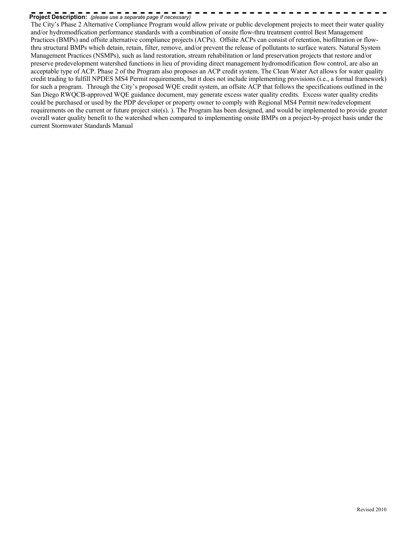# **Project Description:** *(please use a separate page if necessary)*

The City's Phase 2 Alternative Compliance Program would allow private or public development projects to meet their water quality and/or hydromodfication performance standards with a combination of onsite flow-thru treatment control Best Management Practices (BMPs) and offsite alternative compliance projects (ACPs). Offsite ACPs can consist of retention, biofiltration or flowthru structural BMPs which detain, retain, filter, remove, and/or prevent the release of pollutants to surface waters. Natural System Management Practices (NSMPs), such as land restoration, stream rehabilitation or land preservation projects that restore and/or preserve predevelopment watershed functions in lieu of providing direct management hydromodification flow control, are also an acceptable type of ACP. Phase 2 of the Program also proposes an ACP credit system. The Clean Water Act allows for water quality credit trading to fulfill NPDES MS4 Permit requirements, but it does not include implementing provisions (i.e., a formal framework) for such a program. Through the City's proposed WQE credit system, an offsite ACP that follows the specifications outlined in the San Diego RWQCB-approved WQE guidance document, may generate excess water quality credits. Excess water quality credits could be purchased or used by the PDP developer or property owner to comply with Regional MS4 Permit new/redevelopment requirements on the current or future project site(s). ). The Program has been designed, and would be implemented to provide greater overall water quality benefit to the watershed when compared to implementing onsite BMPs on a project-by-project basis under the current Stormwater Standards Manual